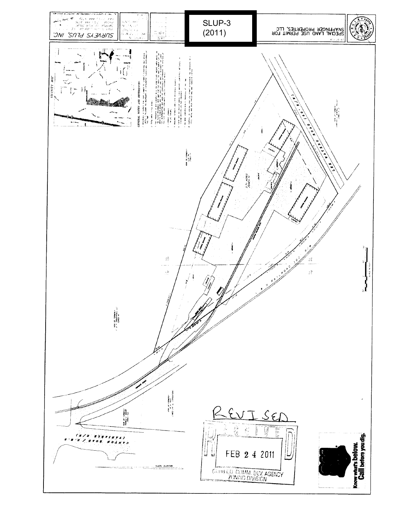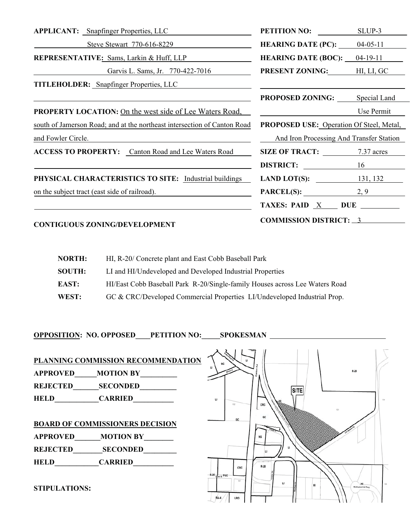| <b>APPLICANT:</b> Snapfinger Properties, LLC                             | <b>PETITION NO:</b>                                                                                                                                                          | SLUP-3         |
|--------------------------------------------------------------------------|------------------------------------------------------------------------------------------------------------------------------------------------------------------------------|----------------|
| Steve Stewart 770-616-8229                                               | <b>HEARING DATE (PC):</b> $04-05-11$                                                                                                                                         |                |
| <b>REPRESENTATIVE:</b> Sams, Larkin & Huff, LLP                          | <b>HEARING DATE (BOC):</b>                                                                                                                                                   | $04 - 19 - 11$ |
| Garvis L. Sams, Jr. 770-422-7016                                         | <b>PRESENT ZONING:</b> HI, LI, GC                                                                                                                                            |                |
| <b>TITLEHOLDER:</b> Snapfinger Properties, LLC                           |                                                                                                                                                                              |                |
|                                                                          | <b>PROPOSED ZONING:</b>                                                                                                                                                      | Special Land   |
| <b>PROPERTY LOCATION:</b> On the west side of Lee Waters Road,           |                                                                                                                                                                              | Use Permit     |
| south of Jamerson Road; and at the northeast intersection of Canton Road | PROPOSED USE: Operation Of Steel, Metal,                                                                                                                                     |                |
| and Fowler Circle.                                                       | And Iron Processing And Transfer Station                                                                                                                                     |                |
| <b>ACCESS TO PROPERTY:</b> Canton Road and Lee Waters Road               | <b>SIZE OF TRACT:</b> 7.37 acres                                                                                                                                             |                |
|                                                                          | DISTRICT:                                                                                                                                                                    |                |
| PHYSICAL CHARACTERISTICS TO SITE: Industrial buildings                   | <b>LAND LOT(S):</b> 131, 132                                                                                                                                                 |                |
| on the subject tract (east side of railroad).                            | <b>PARCEL(S):</b> $2, 9$                                                                                                                                                     |                |
|                                                                          | TAXES: PAID $X$ DUE $\_\_\_\_\_\$                                                                                                                                            |                |
|                                                                          | $C_{\mathbf{M}}$ $\mathbf{M}$ $\mathbf{M}$ $\mathbf{M}$ $\mathbf{M}$ $\mathbf{C}$ $\mathbf{D}$ $\mathbf{M}$ $\mathbf{C}$ $\mathbf{T}$ $\mathbf{L}$ $\mathbf{L}$ $\mathbf{L}$ |                |

# **CONTIGUOUS ZONING/DEVELOPMENT COMMISSION DISTRICT:** <sup>3</sup>

| <b>NORTH:</b> | HI, R-20/ Concrete plant and East Cobb Baseball Park                        |
|---------------|-----------------------------------------------------------------------------|
| <b>SOUTH:</b> | LI and HI/Undeveloped and Developed Industrial Properties                   |
| EAST:         | HI/East Cobb Baseball Park R-20/Single-family Houses across Lee Waters Road |
| WEST:         | GC & CRC/Developed Commercial Properties LI/Undeveloped Industrial Prop.    |

**OPPOSITION: NO. OPPOSED\_\_\_\_PETITION NO:\_\_\_\_\_SPOKESMAN** 

**PLANNING COMMISSION RECOMMENDATION APPROVED\_\_\_\_\_\_MOTION BY\_\_\_\_\_\_\_\_\_\_ REJECTED\_\_\_\_\_\_\_SECONDED\_\_\_\_\_\_\_\_\_\_ HELD\_\_\_\_\_\_\_\_\_\_\_\_CARRIED\_\_\_\_\_\_\_\_\_\_\_ BOARD OF COMMISSIONERS DECISION APPROVED\_\_\_\_\_\_\_MOTION BY\_\_\_\_\_\_\_\_ REJECTED\_\_\_\_\_\_\_\_SECONDED\_\_\_\_\_\_\_\_\_ HELD\_\_\_\_\_\_\_\_\_\_\_\_CARRIED\_\_\_\_\_\_\_\_\_\_\_** 

**STIPULATIONS:**

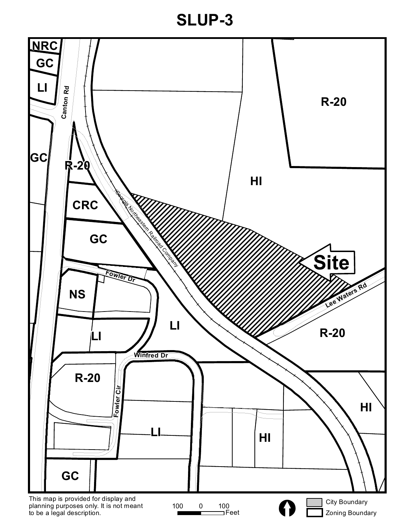**SLUP-3**

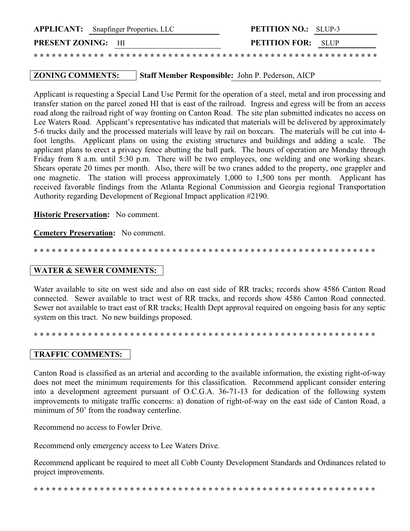|                           | <b>APPLICANT:</b> Snapfinger Properties, LLC | <b>PETITION NO.:</b> SLUP-3 |  |
|---------------------------|----------------------------------------------|-----------------------------|--|
| <b>PRESENT ZONING:</b> HI |                                              | <b>PETITION FOR:</b> SLUP   |  |
|                           |                                              |                             |  |

## **ZONING COMMENTS:** Staff Member Responsible: John P. Pederson, AICP

Applicant is requesting a Special Land Use Permit for the operation of a steel, metal and iron processing and transfer station on the parcel zoned HI that is east of the railroad. Ingress and egress will be from an access road along the railroad right of way fronting on Canton Road. The site plan submitted indicates no access on Lee Waters Road. Applicant's representative has indicated that materials will be delivered by approximately 5-6 trucks daily and the processed materials will leave by rail on boxcars. The materials will be cut into 4 foot lengths. Applicant plans on using the existing structures and buildings and adding a scale. The applicant plans to erect a privacy fence abutting the ball park. The hours of operation are Monday through Friday from 8 a.m. until 5:30 p.m. There will be two employees, one welding and one working shears. Shears operate 20 times per month. Also, there will be two cranes added to the property, one grappler and one magnetic. The station will process approximately 1,000 to 1,500 tons per month. Applicant has received favorable findings from the Atlanta Regional Commission and Georgia regional Transportation Authority regarding Development of Regional Impact application #2190.

**Historic Preservation:** No comment.

**Cemetery Preservation:** No comment.

**\* \* \* \* \* \* \* \* \* \* \* \* \* \* \* \* \* \* \* \* \* \* \* \* \* \* \* \* \* \* \* \* \* \* \* \* \* \* \* \* \* \* \* \* \* \* \* \* \* \* \* \* \* \* \* \* \***

## **WATER & SEWER COMMENTS:**

Water available to site on west side and also on east side of RR tracks; records show 4586 Canton Road connected. Sewer available to tract west of RR tracks, and records show 4586 Canton Road connected. Sewer not available to tract east of RR tracks; Health Dept approval required on ongoing basis for any septic system on this tract. No new buildings proposed.

**\* \* \* \* \* \* \* \* \* \* \* \* \* \* \* \* \* \* \* \* \* \* \* \* \* \* \* \* \* \* \* \* \* \* \* \* \* \* \* \* \* \* \* \* \* \* \* \* \* \* \* \* \* \* \* \* \***

## **TRAFFIC COMMENTS:**

Canton Road is classified as an arterial and according to the available information, the existing right-of-way does not meet the minimum requirements for this classification. Recommend applicant consider entering into a development agreement pursuant of O.C.G.A. 36-71-13 for dedication of the following system improvements to mitigate traffic concerns: a) donation of right-of-way on the east side of Canton Road, a minimum of 50' from the roadway centerline.

Recommend no access to Fowler Drive.

Recommend only emergency access to Lee Waters Drive.

Recommend applicant be required to meet all Cobb County Development Standards and Ordinances related to project improvements.

**\* \* \* \* \* \* \* \* \* \* \* \* \* \* \* \* \* \* \* \* \* \* \* \* \* \* \* \* \* \* \* \* \* \* \* \* \* \* \* \* \* \* \* \* \* \* \* \* \* \* \* \* \* \* \* \* \***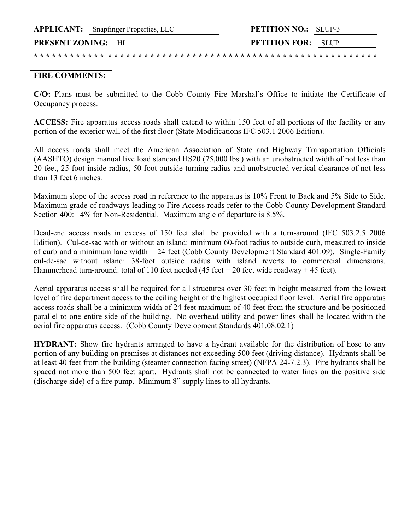### **FIRE COMMENTS:**

**C/O:** Plans must be submitted to the Cobb County Fire Marshal's Office to initiate the Certificate of Occupancy process.

**ACCESS:** Fire apparatus access roads shall extend to within 150 feet of all portions of the facility or any portion of the exterior wall of the first floor (State Modifications IFC 503.1 2006 Edition).

All access roads shall meet the American Association of State and Highway Transportation Officials (AASHTO) design manual live load standard HS20 (75,000 lbs.) with an unobstructed width of not less than 20 feet, 25 foot inside radius, 50 foot outside turning radius and unobstructed vertical clearance of not less than 13 feet 6 inches.

Maximum slope of the access road in reference to the apparatus is 10% Front to Back and 5% Side to Side. Maximum grade of roadways leading to Fire Access roads refer to the Cobb County Development Standard Section 400: 14% for Non-Residential. Maximum angle of departure is 8.5%.

Dead-end access roads in excess of 150 feet shall be provided with a turn-around (IFC 503.2.5 2006 Edition). Cul-de-sac with or without an island: minimum 60-foot radius to outside curb, measured to inside of curb and a minimum lane width = 24 feet (Cobb County Development Standard 401.09). Single-Family cul-de-sac without island: 38-foot outside radius with island reverts to commercial dimensions. Hammerhead turn-around: total of 110 feet needed (45 feet + 20 feet wide roadway + 45 feet).

Aerial apparatus access shall be required for all structures over 30 feet in height measured from the lowest level of fire department access to the ceiling height of the highest occupied floor level. Aerial fire apparatus access roads shall be a minimum width of 24 feet maximum of 40 feet from the structure and be positioned parallel to one entire side of the building. No overhead utility and power lines shall be located within the aerial fire apparatus access. (Cobb County Development Standards 401.08.02.1)

**HYDRANT:** Show fire hydrants arranged to have a hydrant available for the distribution of hose to any portion of any building on premises at distances not exceeding 500 feet (driving distance). Hydrants shall be at least 40 feet from the building (steamer connection facing street) (NFPA 24-7.2.3). Fire hydrants shall be spaced not more than 500 feet apart. Hydrants shall not be connected to water lines on the positive side (discharge side) of a fire pump. Minimum 8" supply lines to all hydrants.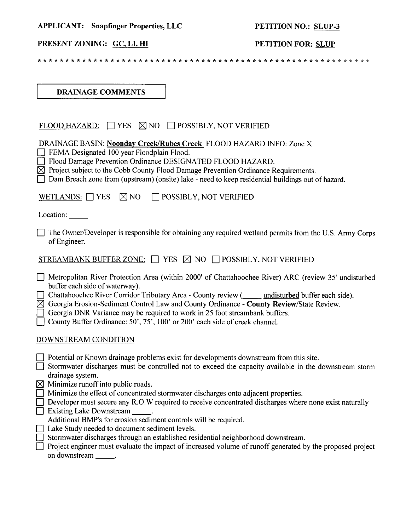| <b>APPLICANT:</b> Snapfinger Properties, LLC |  |  |  |
|----------------------------------------------|--|--|--|
|----------------------------------------------|--|--|--|

## PETITION NO.: SLUP-3

# PRESENT ZONING: GC, LI, HI

# PETITION FOR: SLUP

**DRAINAGE COMMENTS** 

| FLOOD HAZARD: $\Box$ YES $\boxtimes$ NO $\Box$ POSSIBLY, NOT VERIFIED                                                                                                                                                                                                                                                                                                                                                                                                                                              |
|--------------------------------------------------------------------------------------------------------------------------------------------------------------------------------------------------------------------------------------------------------------------------------------------------------------------------------------------------------------------------------------------------------------------------------------------------------------------------------------------------------------------|
| DRAINAGE BASIN: Noonday Creek/Rubes Creek FLOOD HAZARD INFO: Zone X<br>FEMA Designated 100 year Floodplain Flood.<br>Flood Damage Prevention Ordinance DESIGNATED FLOOD HAZARD.<br>$\boxtimes$ Project subject to the Cobb County Flood Damage Prevention Ordinance Requirements.<br>Dam Breach zone from (upstream) (onsite) lake - need to keep residential buildings out of hazard.                                                                                                                             |
| $\boxtimes$ NO $\Box$ POSSIBLY, NOT VERIFIED<br>WETLANDS: $\Box$ YES                                                                                                                                                                                                                                                                                                                                                                                                                                               |
| Location: $\frac{1}{\sqrt{1-\frac{1}{2}}\cdot\frac{1}{\sqrt{1-\frac{1}{2}}}}$                                                                                                                                                                                                                                                                                                                                                                                                                                      |
| The Owner/Developer is responsible for obtaining any required wetland permits from the U.S. Army Corps<br>of Engineer.                                                                                                                                                                                                                                                                                                                                                                                             |
| STREAMBANK BUFFER ZONE: $\Box$ YES $\boxtimes$ NO $\Box$ POSSIBLY, NOT VERIFIED                                                                                                                                                                                                                                                                                                                                                                                                                                    |
| Metropolitan River Protection Area (within 2000' of Chattahoochee River) ARC (review 35' undisturbed<br>buffer each side of waterway).<br>Chattahoochee River Corridor Tributary Area - County review ( <i>umaisturbed</i> buffer each side).<br>$\boxtimes$ Georgia Erosion-Sediment Control Law and County Ordinance - County Review/State Review.<br>Georgia DNR Variance may be required to work in 25 foot streambank buffers.<br>County Buffer Ordinance: 50', 75', 100' or 200' each side of creek channel. |
| DOWNSTREAM CONDITION                                                                                                                                                                                                                                                                                                                                                                                                                                                                                               |
| $\Box$ Potential or Known drainage problems exist for developments downstream from this site.<br>Stormwater discharges must be controlled not to exceed the capacity available in the downstream storm<br>drainage system.                                                                                                                                                                                                                                                                                         |
| $\boxtimes$ Minimize runoff into public roads.<br>Minimize the effect of concentrated stormwater discharges onto adjacent properties.<br>$\Box$ Developer must secure any R.O.W required to receive concentrated discharges where none exist naturally<br>Existing Lake Downstream _____.<br>Additional BMP's for erosion sediment controls will be required.                                                                                                                                                      |
| Lake Study needed to document sediment levels.<br>$\Box$<br>Stormwater discharges through an established residential neighborhood downstream.<br>Project engineer must evaluate the impact of increased volume of runoff generated by the proposed project<br>on downstream                                                                                                                                                                                                                                        |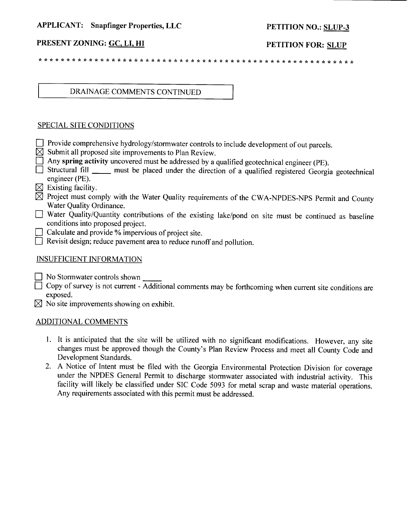#### **APPLICANT:** Snapfinger Properties, LLC

## PETITION NO.: SLUP-3

## PRESENT ZONING: GC, LI, HI

PETITION FOR: SLUP

## DRAINAGE COMMENTS CONTINUED

### **SPECIAL SITE CONDITIONS**

- Theoride comprehensive hydrology/stormwater controls to include development of out parcels.
- $\boxtimes$  Submit all proposed site improvements to Plan Review.
- $\Box$  Any spring activity uncovered must be addressed by a qualified geotechnical engineer (PE).
- Structural fill \_\_\_\_\_ must be placed under the direction of a qualified registered Georgia geotechnical engineer (PE).
- $\boxtimes$  Existing facility.
- $\boxtimes$  Project must comply with the Water Quality requirements of the CWA-NPDES-NPS Permit and County Water Quality Ordinance.
- Water Quality/Quantity contributions of the existing lake/pond on site must be continued as baseline conditions into proposed project.
- Calculate and provide % impervious of project site.
- $\Box$  Revisit design; reduce pavement area to reduce runoff and pollution.

## **INSUFFICIENT INFORMATION**

 $\Box$  No Stormwater controls shown

- $\Box$  Copy of survey is not current Additional comments may be forthcoming when current site conditions are exposed.
- $\boxtimes$  No site improvements showing on exhibit.

#### **ADDITIONAL COMMENTS**

- 1. It is anticipated that the site will be utilized with no significant modifications. However, any site changes must be approved though the County's Plan Review Process and meet all County Code and Development Standards.
- 2. A Notice of Intent must be filed with the Georgia Environmental Protection Division for coverage under the NPDES General Permit to discharge stormwater associated with industrial activity. This facility will likely be classified under SIC Code 5093 for metal scrap and waste material operations. Any requirements associated with this permit must be addressed.